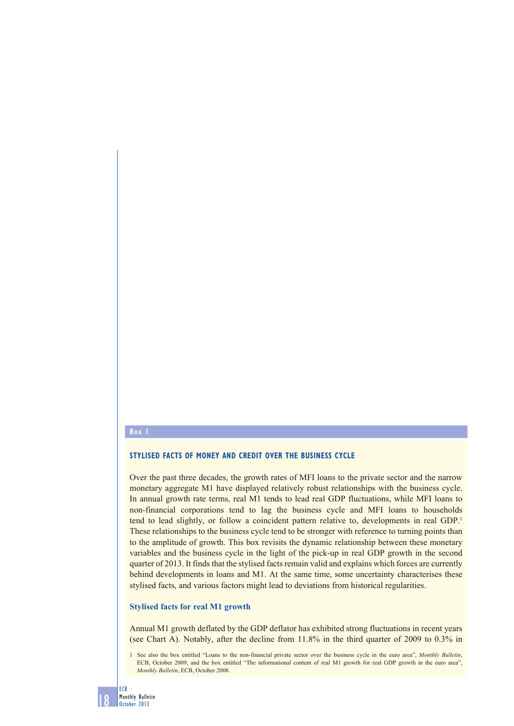### **Box 1**

## **STYLISED FACTS OF MONEY AND CREDIT OVER THE BUSINESS CYCLE**

Over the past three decades, the growth rates of MFI loans to the private sector and the narrow monetary aggregate M1 have displayed relatively robust relationships with the business cycle. In annual growth rate terms, real M1 tends to lead real GDP fluctuations, while MFI loans to non-financial corporations tend to lag the business cycle and MFI loans to households tend to lead slightly, or follow a coincident pattern relative to, developments in real GDP.1 These relationships to the business cycle tend to be stronger with reference to turning points than to the amplitude of growth. This box revisits the dynamic relationship between these monetary variables and the business cycle in the light of the pick-up in real GDP growth in the second quarter of 2013. It finds that the stylised facts remain valid and explains which forces are currently behind developments in loans and M1. At the same time, some uncertainty characterises these stylised facts, and various factors might lead to deviations from historical regularities.

## **Stylised facts for real M1 growth**

Annual M1 growth deflated by the GDP deflator has exhibited strong fluctuations in recent years (see Chart A). Notably, after the decline from 11.8% in the third quarter of 2009 to 0.3% in

1 See also the box entitled "Loans to the non-financial private sector over the business cycle in the euro area", *Monthly Bulletin*, ECB, October 2009, and the box entitled "The informational content of real M1 growth for real GDP growth in the euro area", *Monthly Bulletin*, ECB, October 2008.

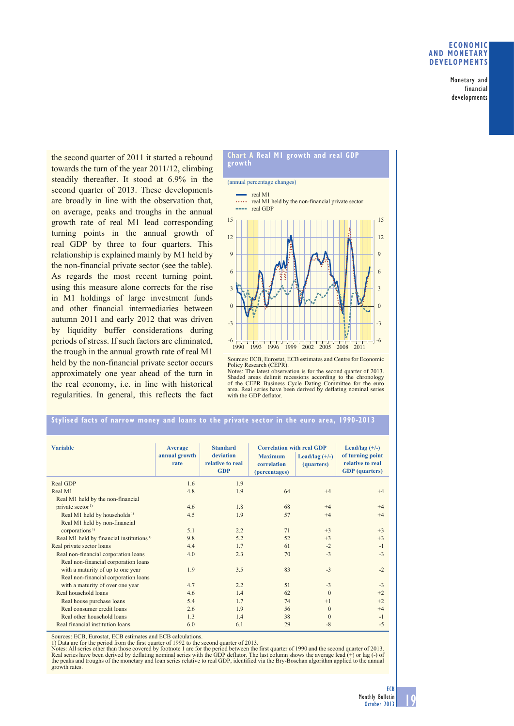### **ECONOMIC AND MONETARY DEVELOPMENTS**

Monetary and financial developments

the second quarter of 2011 it started a rebound towards the turn of the year 2011/12, climbing steadily thereafter. It stood at 6.9% in the second quarter of 2013. These developments are broadly in line with the observation that, on average, peaks and troughs in the annual growth rate of real M1 lead corresponding turning points in the annual growth of real GDP by three to four quarters. This relationship is explained mainly by M1 held by the non-financial private sector (see the table). As regards the most recent turning point, using this measure alone corrects for the rise in M1 holdings of large investment funds and other financial intermediaries between autumn 2011 and early 2012 that was driven by liquidity buffer considerations during periods of stress. If such factors are eliminated, the trough in the annual growth rate of real M1 held by the non-financial private sector occurs approximately one year ahead of the turn in the real economy, i.e. in line with historical regularities. In general, this reflects the fact



Sources: ECB, Eurostat, ECB estimates and Centre for Economic Policy Research (CEPR). Notes: The latest observation is for the second quarter of 2013.

Shaded areas delimit recessions according to the chronology of the CEPR Business Cycle Dating Committee for the euro area. Real series have been derived by deflating nominal series with the GDP deflator.

# **Stylised facts of narrow money and loans to the private sector in the euro area, 1990-2013**

| <b>Variable</b>                                      | <b>Average</b><br>annual growth<br>rate | <b>Standard</b><br>deviation<br>relative to real<br><b>GDP</b> | <b>Correlation with real GDP</b><br><b>Maximum</b><br>correlation<br>(percentages) | Lead/lag $(+/-)$<br>(quarters) | Lead/lag $(+/-)$<br>of turning point<br>relative to real<br><b>GDP</b> (quarters) |
|------------------------------------------------------|-----------------------------------------|----------------------------------------------------------------|------------------------------------------------------------------------------------|--------------------------------|-----------------------------------------------------------------------------------|
| Real GDP                                             | 1.6                                     | 1.9                                                            |                                                                                    |                                |                                                                                   |
| Real M1                                              | 4.8                                     | 1.9                                                            | 64                                                                                 | $+4$                           | $+4$                                                                              |
| Real M1 held by the non-financial                    |                                         |                                                                |                                                                                    |                                |                                                                                   |
| private sector <sup>1)</sup>                         | 4.6                                     | 1.8                                                            | 68                                                                                 | $+4$                           | $+4$                                                                              |
| Real M1 held by households <sup>1)</sup>             | 4.5                                     | 1.9                                                            | 57                                                                                 | $+4$                           | $+4$                                                                              |
| Real M1 held by non-financial                        |                                         |                                                                |                                                                                    |                                |                                                                                   |
| corporations <sup>1)</sup>                           | 5.1                                     | 2.2                                                            | 71                                                                                 | $+3$                           | $+3$                                                                              |
| Real M1 held by financial institutions <sup>1)</sup> | 9.8                                     | 5.2                                                            | 52                                                                                 | $+3$                           | $+3$                                                                              |
| Real private sector loans                            | 44                                      | 1.7                                                            | 61                                                                                 | $-2$                           | $-1$                                                                              |
| Real non-financial corporation loans                 | 4.0                                     | 2.3                                                            | 70                                                                                 | $-3$                           | $-3$                                                                              |
| Real non-financial corporation loans                 |                                         |                                                                |                                                                                    |                                |                                                                                   |
| with a maturity of up to one year                    | 1.9                                     | 3.5                                                            | 83                                                                                 | $-3$                           | $-2$                                                                              |
| Real non-financial corporation loans                 |                                         |                                                                |                                                                                    |                                |                                                                                   |
| with a maturity of over one year                     | 4.7                                     | 2.2                                                            | 51                                                                                 | $-3$                           | $-3$                                                                              |
| Real household loans                                 | 4.6                                     | 1.4                                                            | 62                                                                                 | $\Omega$                       | $+2$                                                                              |
| Real house purchase loans                            | 5.4                                     | 1.7                                                            | 74                                                                                 | $+1$                           | $+2$                                                                              |
| Real consumer credit loans                           | 2.6                                     | 1.9                                                            | 56                                                                                 | $\mathbf{0}$                   | $+4$                                                                              |
| Real other household loans                           | 1.3                                     | 1.4                                                            | 38                                                                                 | $\mathbf{0}$                   | $-1$                                                                              |
| Real financial institution loans                     | 6.0                                     | 6.1                                                            | 29                                                                                 | $-8$                           | $-5$                                                                              |

Sources: ECB, Eurostat, ECB estimates and ECB calculations.

1) Data are for the period from the first quarter of 1992 to the second quarter of 2013.

Notes: All series other than those covered by footnote 1 are for the period between the first quarter of 1990 and the second quarter of 2013.<br>Real series have been derived by deflating nominal series with the GDP deflator. growth rates.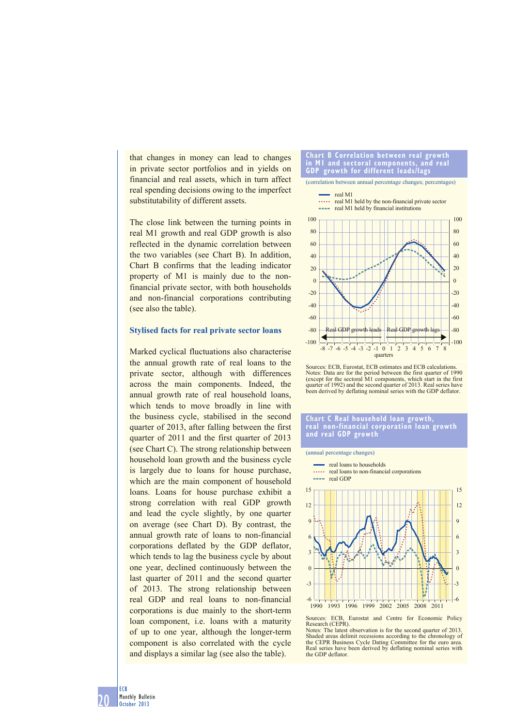that changes in money can lead to changes in private sector portfolios and in yields on financial and real assets, which in turn affect real spending decisions owing to the imperfect substitutability of different assets.

The close link between the turning points in real M1 growth and real GDP growth is also reflected in the dynamic correlation between the two variables (see Chart B). In addition, Chart B confirms that the leading indicator property of M1 is mainly due to the nonfinancial private sector, with both households and non-financial corporations contributing (see also the table).

### **Stylised facts for real private sector loans**

Marked cyclical fluctuations also characterise the annual growth rate of real loans to the private sector, although with differences across the main components. Indeed, the annual growth rate of real household loans, which tends to move broadly in line with the business cycle, stabilised in the second quarter of 2013, after falling between the first quarter of 2011 and the first quarter of 2013 (see Chart C). The strong relationship between household loan growth and the business cycle is largely due to loans for house purchase, which are the main component of household loans. Loans for house purchase exhibit a strong correlation with real GDP growth and lead the cycle slightly, by one quarter on average (see Chart D). By contrast, the annual growth rate of loans to non-financial corporations deflated by the GDP deflator, which tends to lag the business cycle by about one year, declined continuously between the last quarter of 2011 and the second quarter of 2013. The strong relationship between real GDP and real loans to non-financial corporations is due mainly to the short-term loan component, i.e. loans with a maturity of up to one year, although the longer-term component is also correlated with the cycle and displays a similar lag (see also the table).



Sources: ECB, Eurostat, ECB estimates and ECB calculations. Notes: Data are for the period between the first quarter of 1990 (except for the sectoral M1 components, which start in the first quarter of 1992) and the second quarter of 2013. Real series have been derived by deflating nominal series with the GDP deflator.

#### **Chart C Real household loan growth, real non-financial corporation loan growth and real GDP growth**

#### (annual percentage changes) <sup>-</sup> real loans to households  $\mathbf{r}$ real loans to non-financial corporations *<u><u>ALLA</u>*</u> real GDP 15 15 12 12  $\overline{q}$  $\overline{Q}$ 6 6 3 3  $\overline{0}$  $\overline{0}$ -3 -3 -6 -6 1990 1993 1996 1999 2002 2005 2008 2011

Shaded areas delimit recessions according to the chronology of the CEPR Business Cycle Dating Committee for the euro area. Real series have been derived by deflating nominal series with the GDP deflator.

20 ECB Monthly Bulletin October 2013

Sources: ECB, Eurostat and Centre for Economic Policy Research (CEPR). Notes: The latest observation is for the second quarter of 2013.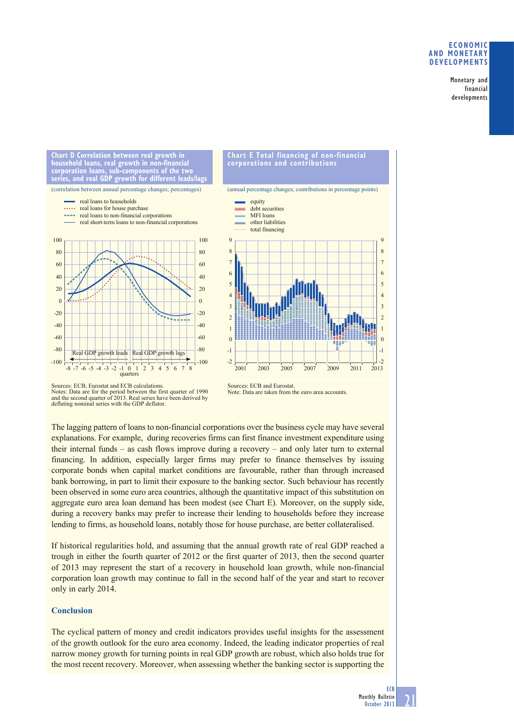## **ECONOMIC AND MONETARY DEVELOPMENTS**

Monetary and financial developments

**corporation loans, sub-components of the two series, and real GDP growth for different leads/lags** (correlation between annual percentage changes; percentages) -100  $-80$ -60  $-40$  $-20$  $\Omega$ 20 40 60 80 100  $-100$ -80 -60 -40 -20  $\overline{0}$ 20 40 60 80 100 Real GDP growth leads quarters Real GDP growth lags -8 -7 -6 -5 -4 -3 -2 -1 0 1 2 3 4 5 6 7 8 real loans to households real loans for house purchase real loans to non-financial corporations real short-term loans to non-financial corporations

**Chart D Correlation between real growth in household loans, real growth in non-financial** 



**Chart E Total financing of non-financial** 

**corporations and contributions**

### Sources: ECB, Eurostat and ECB calculations. Notes: Data are for the period between the first quarter of 1990 and the second quarter of 2013. Real series have been derived by deflating nominal series with the GDP deflator.

Sources: ECB and Eurostat. Note: Data are taken from the euro area accounts.

The lagging pattern of loans to non-financial corporations over the business cycle may have several explanations. For example, during recoveries firms can first finance investment expenditure using their internal funds – as cash flows improve during a recovery – and only later turn to external financing. In addition, especially larger firms may prefer to finance themselves by issuing corporate bonds when capital market conditions are favourable, rather than through increased bank borrowing, in part to limit their exposure to the banking sector. Such behaviour has recently been observed in some euro area countries, although the quantitative impact of this substitution on aggregate euro area loan demand has been modest (see Chart E). Moreover, on the supply side, during a recovery banks may prefer to increase their lending to households before they increase lending to firms, as household loans, notably those for house purchase, are better collateralised.

If historical regularities hold, and assuming that the annual growth rate of real GDP reached a trough in either the fourth quarter of 2012 or the first quarter of 2013, then the second quarter of 2013 may represent the start of a recovery in household loan growth, while non-financial corporation loan growth may continue to fall in the second half of the year and start to recover only in early 2014.

# **Conclusion**

The cyclical pattern of money and credit indicators provides useful insights for the assessment of the growth outlook for the euro area economy. Indeed, the leading indicator properties of real narrow money growth for turning points in real GDP growth are robust, which also holds true for the most recent recovery. Moreover, when assessing whether the banking sector is supporting the